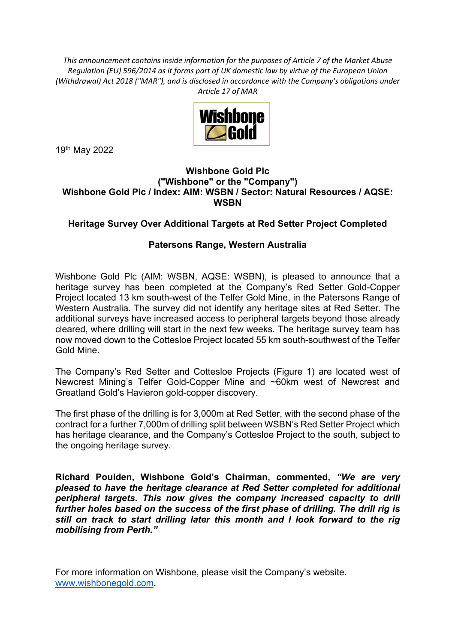*This announcement contains inside information for the purposes of Article 7 of the Market Abuse Regulation (EU) 596/2014 as it forms part of UK domestic law by virtue of the European Union (Withdrawal) Act 2018 ("MAR"), and is disclosed in accordance with the Company's obligations under Article 17 of MAR*



19th May 2022

## **Wishbone Gold Plc ("Wishbone" or the "Company") Wishbone Gold Plc / Index: AIM: WSBN / Sector: Natural Resources / AQSE: WSBN**

## **Heritage Survey Over Additional Targets at Red Setter Project Completed**

## **Patersons Range, Western Australia**

Wishbone Gold Plc (AIM: WSBN, AQSE: WSBN), is pleased to announce that a heritage survey has been completed at the Company's Red Setter Gold-Copper Project located 13 km south-west of the Telfer Gold Mine, in the Patersons Range of Western Australia. The survey did not identify any heritage sites at Red Setter. The additional surveys have increased access to peripheral targets beyond those already cleared, where drilling will start in the next few weeks. The heritage survey team has now moved down to the Cottesloe Project located 55 km south-southwest of the Telfer Gold Mine.

The Company's Red Setter and Cottesloe Projects (Figure 1) are located west of Newcrest Mining's Telfer Gold-Copper Mine and ~60km west of Newcrest and Greatland Gold's Havieron gold-copper discovery.

The first phase of the drilling is for 3,000m at Red Setter, with the second phase of the contract for a further 7,000m of drilling split between WSBN's Red Setter Project which has heritage clearance, and the Company's Cottesloe Project to the south, subject to the ongoing heritage survey.

**Richard Poulden, Wishbone Gold's Chairman, commented,** *"We are very pleased to have the heritage clearance at Red Setter completed for additional peripheral targets. This now gives the company increased capacity to drill further holes based on the success of the first phase of drilling. The drill rig is still on track to start drilling later this month and I look forward to the rig mobilising from Perth."*

For more information on Wishbone, please visit the Company's website. www.wishbonegold.com.